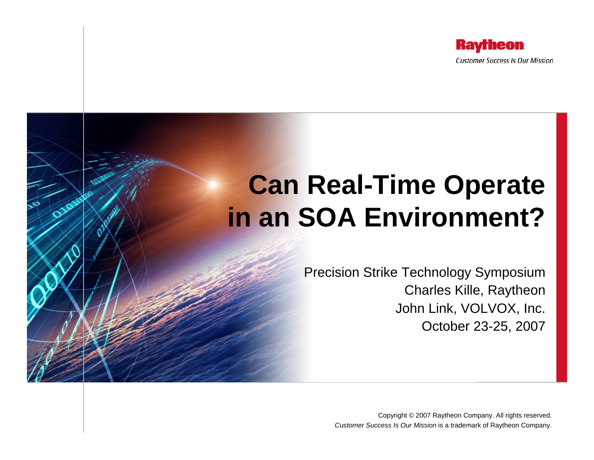

# **Can Real-Time Operate in an SOA Environment?**

Precision Strike Technology Symposium Charles Kille, Raytheon John Link, VOLVOX, Inc. October 23-25, 2007

> Copyright © 2007 Raytheon Company. All rights reserved. *Customer Success Is Our Mission* is a trademark of Raytheon Company.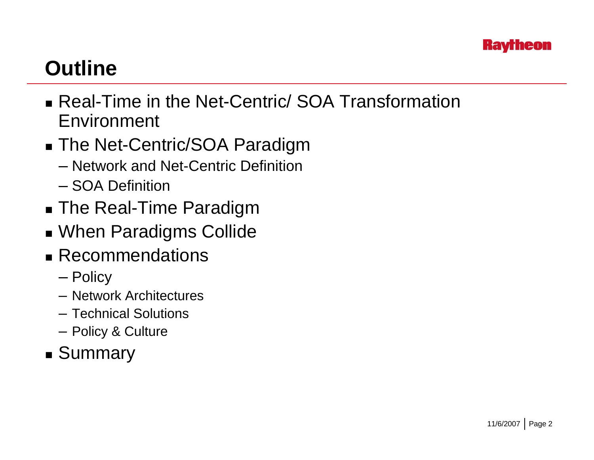

## **Outline**

- Real-Time in the Net-Centric/ SOA Transformation Environment
- The Net-Centric/SOA Paradigm
	- Network and Net-Centric Definition
	- SOA Definition
- The Real-Time Paradigm
- When Paradigms Collide
- Recommendations
	- Policy
	- Network Architectures
	- Technical Solutions
	- Policy & Culture
- Summary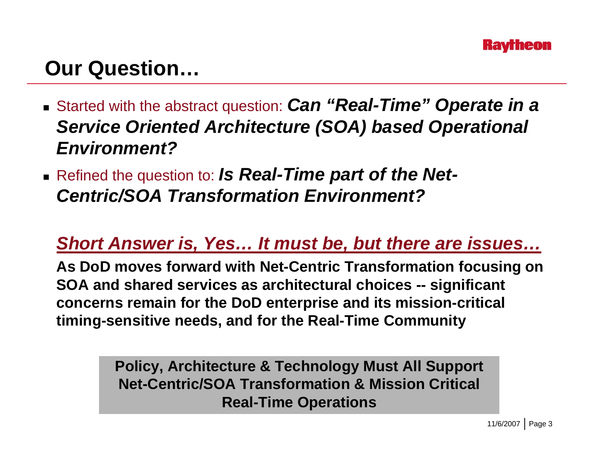

## **Our Question…**

- Started with the abstract question: *Can "Real-Time" Operate in a Service Oriented Architecture (SOA) based Operational Environment?*
- Refined the question to: *Is Real-Time part of the Net-Centric/SOA Transformation Environment?*

#### *Short Answer is, Yes… It must be, but there are issues…*

**As DoD moves forward with Net-Centric Transformation focusing on SOA and shared services as architectural choices -- significant concerns remain for the DoD enterprise and its mission-critical timing-sensitive needs, and for the Real-Time Community**

> **Policy, Architecture & Technology Must All Support Net-Centric/SOA Transformation & Mission Critical Real-Time Operations**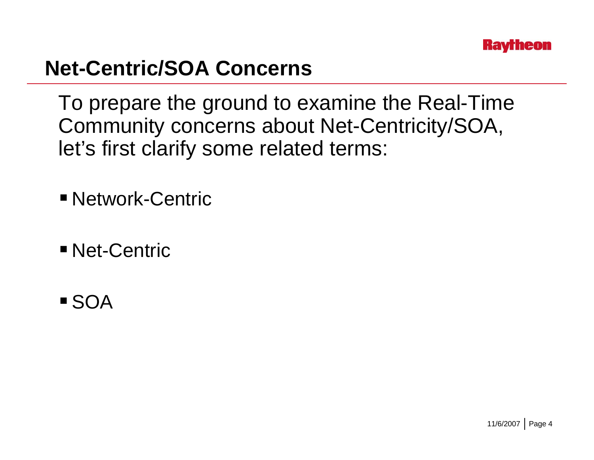

## **Net-Centric/SOA Concerns**

To prepare the ground to examine the Real-Time Community concerns about Net-Centricity/SOA, let's first clarify some related terms:

- Network-Centric
- **Net-Centric**
- SOA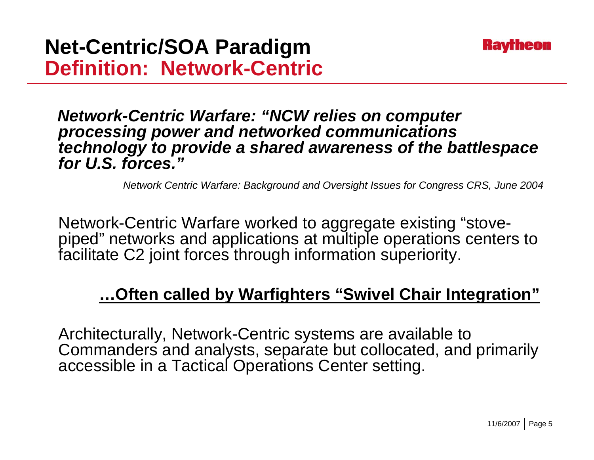

*Network-Centric Warfare: "NCW relies on computer processing power and networked communications technology to provide a shared awareness of the battlespace for U.S. forces."*

*Network Centric Warfare: Background and Oversight Issues for Congress CRS, June 2004*

Network-Centric Warfare worked to aggregate existing "stovepiped" networks and applications at multiple operations centers to facilitate C2 joint forces through information superiority.

#### **…Often called by Warfighters "Swivel Chair Integration"**

Architecturally, Network-Centric systems are available to Commanders and analysts, separate but collocated, and primarily accessible in a Tactical Operations Center setting.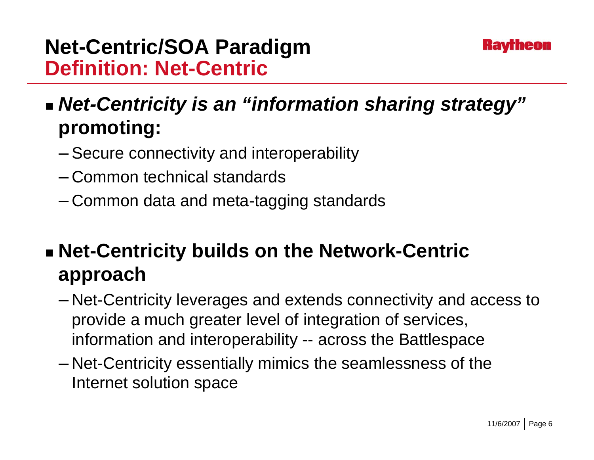

### **Net-Centric/SOA Paradigm Definition: Net-Centric**

 *Net-Centricity is an "information sharing strategy"* **promoting:**

- Secure connectivity and interoperability
- Common technical standards
- Common data and meta-tagging standards

## **Net-Centricity builds on the Network-Centric approach**

- – Net-Centricity leverages and extends connectivity and access to provide a much greater level of integration of services, information and interoperability -- across the Battlespace
- Net-Centricity essentially mimics the seamlessness of the Internet solution space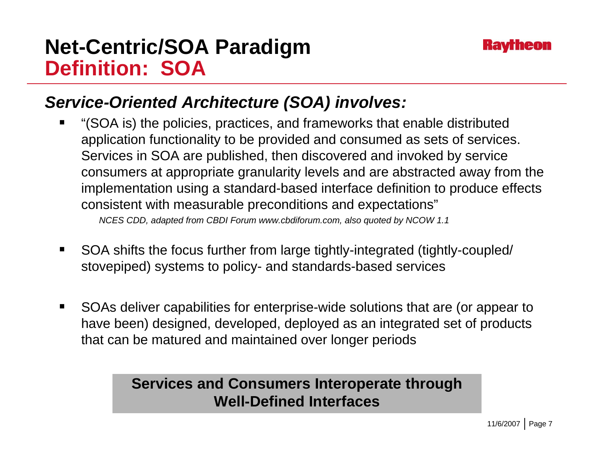### **Net-Centric/SOA Paradigm Definition: SOA**



#### *Service-Oriented Architecture (SOA) involves:*

 $\blacksquare$  "(SOA is) the policies, practices, and frameworks that enable distributed application functionality to be provided and consumed as sets of services. Services in SOA are published, then discovered and invoked by service consumers at appropriate granularity levels and are abstracted away from the implementation using a standard-based interface definition to produce effects consistent with measurable preconditions and expectations"

*NCES CDD, adapted from CBDI Forum www.cbdiforum.com, also quoted by NCOW 1.1*

- $\blacksquare$  SOA shifts the focus further from large tightly-integrated (tightly-coupled/ stovepiped) systems to policy- and standards-based services
- $\blacksquare$  SOAs deliver capabilities for enterprise-wide solutions that are (or appear to have been) designed, developed, deployed as an integrated set of products that can be matured and maintained over longer periods

#### **Services and Consumers Interoperate through Well-Defined Interfaces**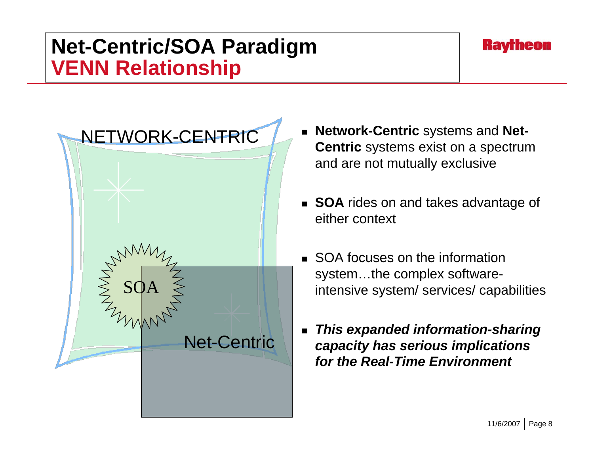### **Net-Centric/SOA Paradigm VENN Relationship**





- **Network-Centric** systems and **Net-Centric** systems exist on a spectrum and are not mutually exclusive
- **SOA** rides on and takes advantage of either context
- **SOA focuses on the information** system…the complex softwareintensive system/ services/ capabilities
- $\blacksquare$  *This expanded information-sharing capacity has serious implications for the Real-Time Environment*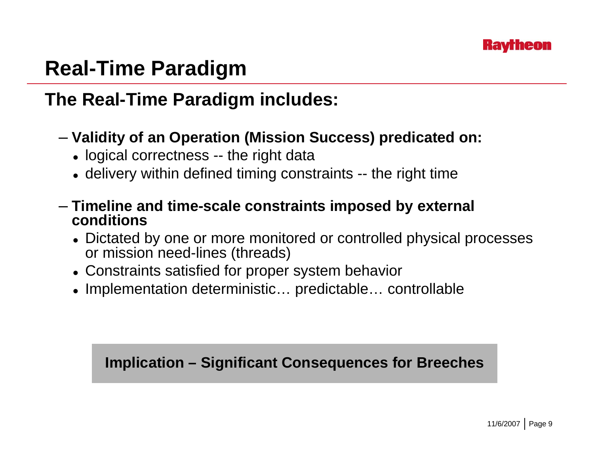

## **Real-Time Paradigm**

#### **The Real-Time Paradigm includes:**

- **Validity of an Operation (Mission Success) predicated on:**
	- logical correctness -- the right data
	- $\bullet\,$  delivery within defined timing constraints -- the right time
- **Timeline and time-scale constraints imposed by external conditions**
	- Dictated by one or more monitored or controlled physical processes or mission need-lines (threads)
	- Constraints satisfied for proper system behavior
	- Implementation deterministic… predictable… controllable

#### **Implication – Significant Consequences for Breeches**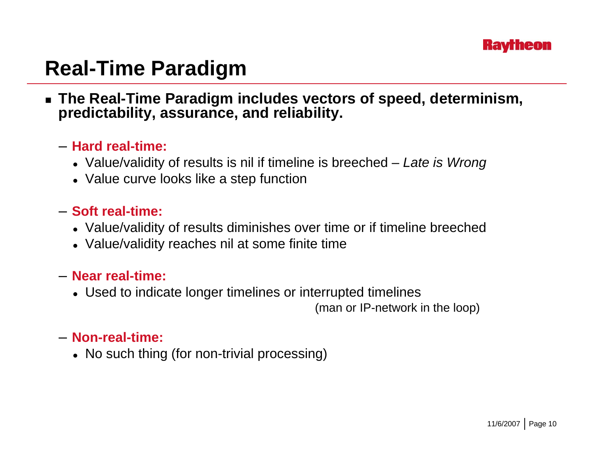

## **Real-Time Paradigm**

 **The Real-Time Paradigm includes vectors of speed, determinism, predictability, assurance, and reliability.**

#### – **Hard real-time:**

- Value/validity of results is nil if timeline is breeched *Late is Wrong*
- $\bullet\,$  Value curve looks like a step function

#### – **Soft real-time:**

- Value/validity of results diminishes over time or if timeline breeched
- Value/validity reaches nil at some finite time

#### – **Near real-time:**

• Used to indicate longer timelines or interrupted timelines

(man or IP-network in the loop)

#### – **Non-real-time:**

• No such thing (for non-trivial processing)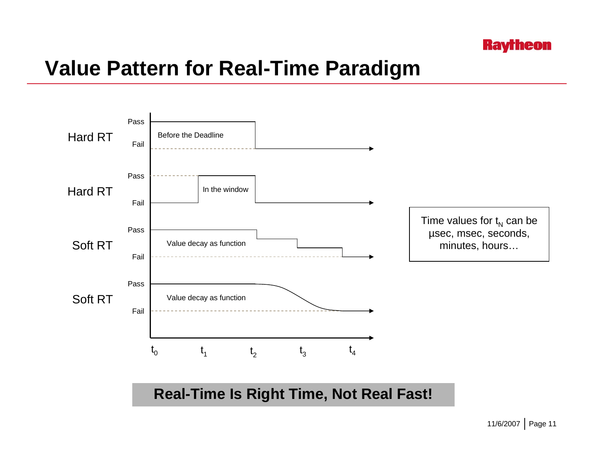

### **Value Pattern for Real-Time Paradigm**



**Real-Time Is Right Time, Not Real Fast!**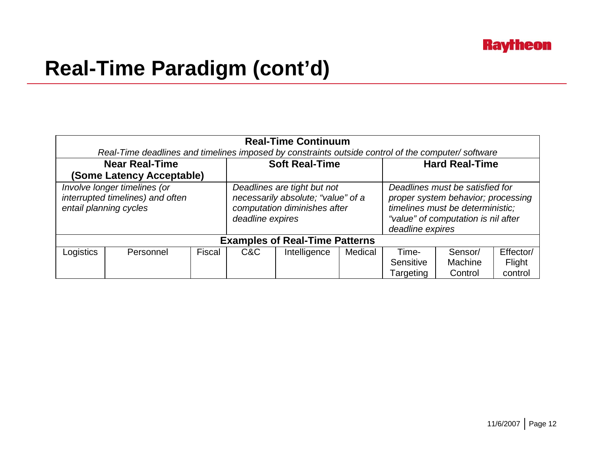

## **Real-Time Paradigm (cont'd)**

| <b>Real-Time Continuum</b><br>Real-Time deadlines and timelines imposed by constraints outside control of the computer/software |           |        |                                                                                                                       |              |         |                                                                                                                                                                      |                    |                   |
|---------------------------------------------------------------------------------------------------------------------------------|-----------|--------|-----------------------------------------------------------------------------------------------------------------------|--------------|---------|----------------------------------------------------------------------------------------------------------------------------------------------------------------------|--------------------|-------------------|
| <b>Near Real-Time</b><br>(Some Latency Acceptable)                                                                              |           |        | <b>Soft Real-Time</b>                                                                                                 |              |         | <b>Hard Real-Time</b>                                                                                                                                                |                    |                   |
| Involve longer timelines (or<br>interrupted timelines) and often<br>entail planning cycles                                      |           |        | Deadlines are tight but not<br>necessarily absolute; "value" of a<br>computation diminishes after<br>deadline expires |              |         | Deadlines must be satisfied for<br>proper system behavior; processing<br>timelines must be deterministic;<br>"value" of computation is nil after<br>deadline expires |                    |                   |
| <b>Examples of Real-Time Patterns</b>                                                                                           |           |        |                                                                                                                       |              |         |                                                                                                                                                                      |                    |                   |
| Logistics                                                                                                                       | Personnel | Fiscal | C&C                                                                                                                   | Intelligence | Medical | Time-                                                                                                                                                                | Sensor/            | Effector/         |
|                                                                                                                                 |           |        |                                                                                                                       |              |         | Sensitive<br>Targeting                                                                                                                                               | Machine<br>Control | Flight<br>control |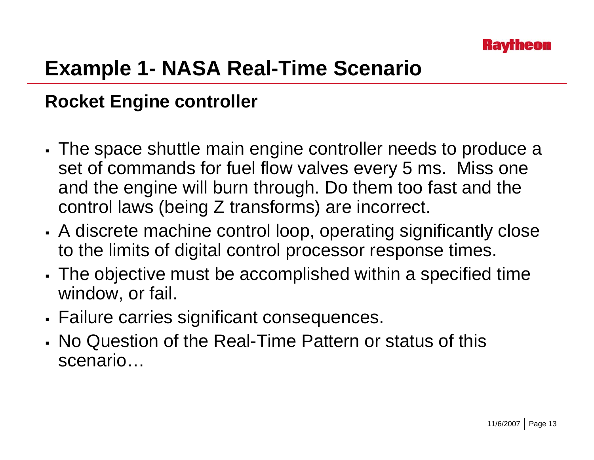

## **Example 1- NASA Real-Time Scenario**

#### **Rocket Engine controller**

- The space shuttle main engine controller needs to produce a set of commands for fuel flow valves every 5 ms. Miss one and the engine will burn through. Do them too fast and the control laws (being Z transforms) are incorrect.
- A discrete machine control loop, operating significantly close to the limits of digital control processor response times.
- П The objective must be accomplished within a specified time window, or fail.
- П Failure carries significant consequences.
- No Question of the Real-Time Pattern or status of this scenario…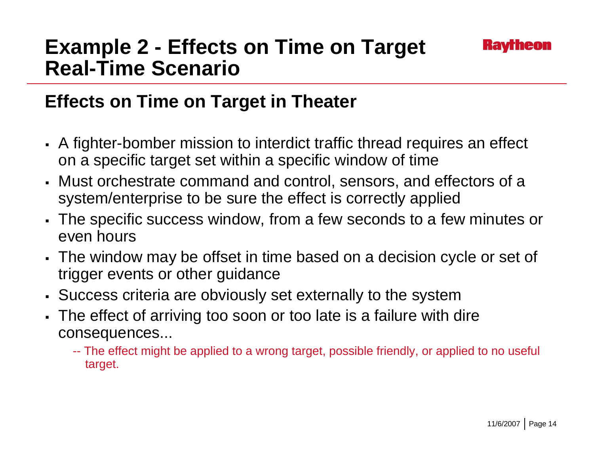### **Example 2 - Effects on Time on Target Real-Time Scenario**

#### **Effects on Time on Target in Theater**

- A fighter-bomber mission to interdict traffic thread requires an effect on a specific target set within a specific window of time
- Must orchestrate command and control, sensors, and effectors of a system/enterprise to be sure the effect is correctly applied
- The specific success window, from a few seconds to a few minutes or even hours
- The window may be offset in time based on a decision cycle or set of trigger events or other guidance
- Success criteria are obviously set externally to the system
- The effect of arriving too soon or too late is a failure with dire consequences...
	- -- The effect might be applied to a wrong target, possible friendly, or applied to no useful target.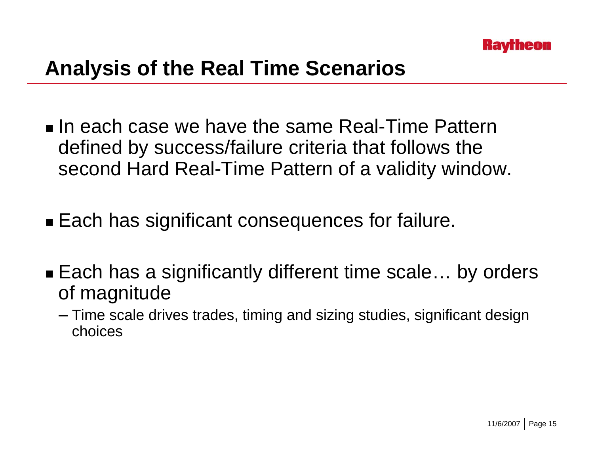

## **Analysis of the Real Time Scenarios**

- $\blacksquare$  In each case we have the same Real-Time Pattern defined by success/failure criteria that follows the second Hard Real-Time Pattern of a validity window.
- Each has significant consequences for failure.
- Each has a significantly different time scale… by orders of magnitude
	- Time scale drives trades, timing and sizing studies, significant design choices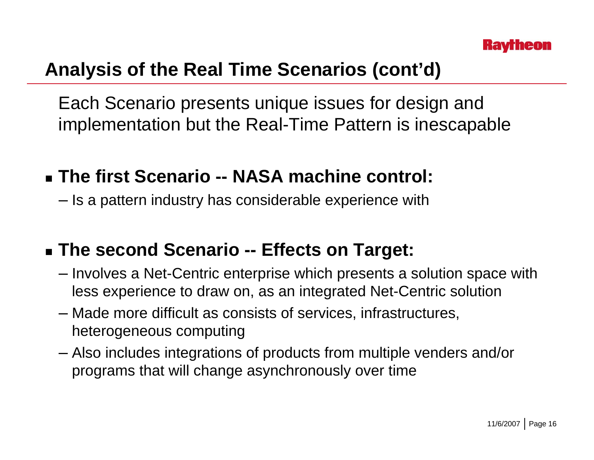

#### **Analysis of the Real Time Scenarios (cont'd)**

Each Scenario presents unique issues for design and implementation but the Real-Time Pattern is inescapable

- **The first Scenario -- NASA machine control:**
	- Is a pattern industry has considerable experience with

#### **The second Scenario -- Effects on Target:**

- Involves a Net-Centric enterprise which presents a solution space with less experience to draw on, as an integrated Net-Centric solution
- Made more difficult as consists of services, infrastructures, heterogeneous computing
- Also includes integrations of products from multiple venders and/or programs that will change asynchronously over time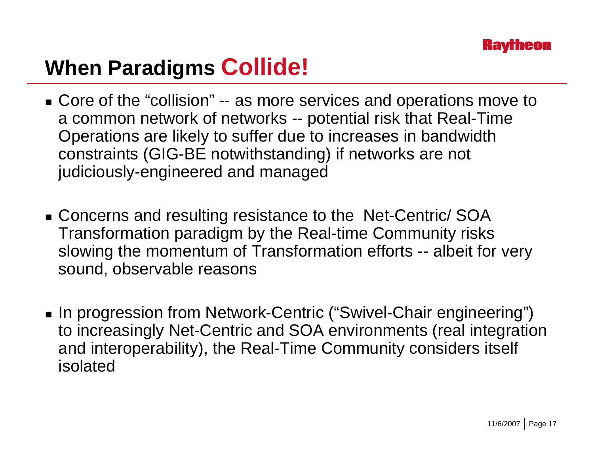

## **When Paradigms Collide!**

- Core of the "collision" -- as more services and operations move to a common network of networks -- potential risk that Real-Time Operations are likely to suffer due to increases in bandwidth constraints (GIG-BE notwithstanding) if networks are not judiciously-engineered and managed
- Concerns and resulting resistance to the Net-Centric/ SOA Transformation paradigm by the Real-time Community risks slowing the momentum of Transformation efforts -- albeit for very sound, observable reasons
- In progression from Network-Centric ("Swivel-Chair engineering") to increasingly Net-Centric and SOA environments (real integration and interoperability), the Real-Time Community considers itself isolated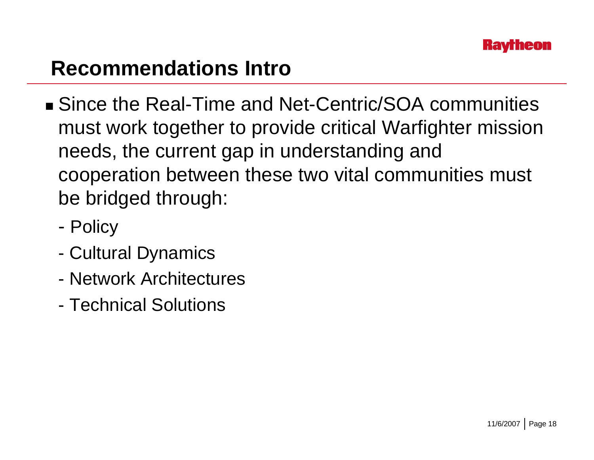

### **Recommendations Intro**

- Since the Real-Time and Net-Centric/SOA communities must work together to provide critical Warfighter mission needs, the current gap in understanding and cooperation between these two vital communities must be bridged through:
	- -- Policy
	- -Cultural Dynamics
	- Network Architectures
	- Technical Solutions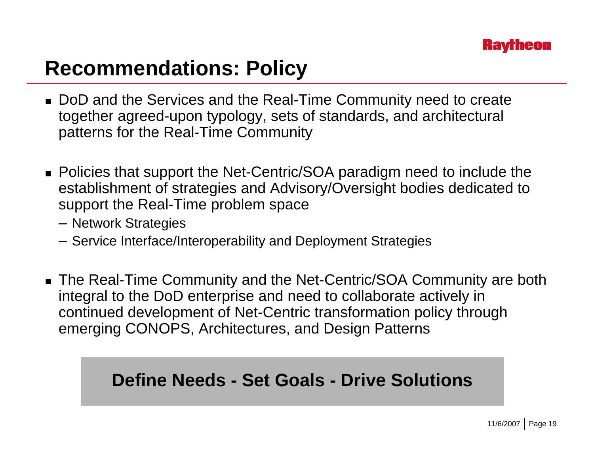

## **Recommendations: Policy**

- DoD and the Services and the Real-Time Community need to create together agreed-upon typology, sets of standards, and architectural patterns for the Real-Time Community
- Policies that support the Net-Centric/SOA paradigm need to include the establishment of strategies and Advisory/Oversight bodies dedicated to support the Real-Time problem space
	- Network Strategies
	- Service Interface/Interoperability and Deployment Strategies
- The Real-Time Community and the Net-Centric/SOA Community are both integral to the DoD enterprise and need to collaborate actively in continued development of Net-Centric transformation policy through emerging CONOPS, Architectures, and Design Patterns

#### **Define Needs - Set Goals - Drive Solutions**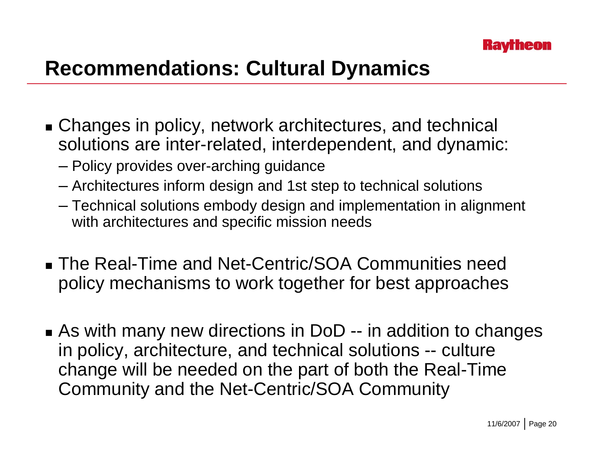

## **Recommendations: Cultural Dynamics**

- Changes in policy, network architectures, and technical solutions are inter-related, interdependent, and dynamic:
	- Policy provides over-arching guidance
	- Architectures inform design and 1st step to technical solutions
	- Technical solutions embody design and implementation in alignment with architectures and specific mission needs
- The Real-Time and Net-Centric/SOA Communities need policy mechanisms to work together for best approaches
- As with many new directions in DoD -- in addition to changes in policy, architecture, and technical solutions -- culture change will be needed on the part of both the Real-Time Community and the Net-Centric/SOA Community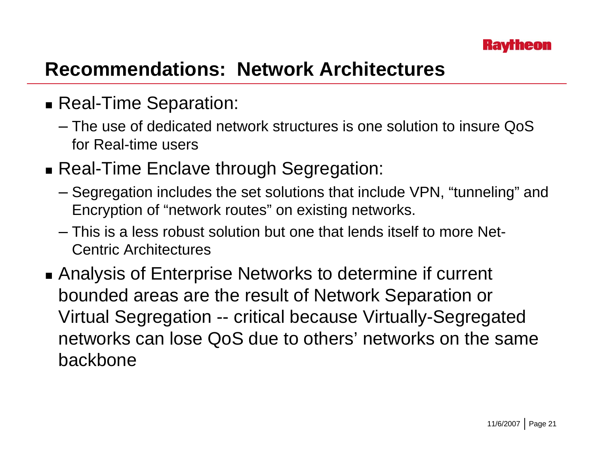

#### **Recommendations: Network Architectures**

- Real-Time Separation:
	- The use of dedicated network structures is one solution to insure QoS for Real-time users
- Real-Time Enclave through Segregation:
	- Segregation includes the set solutions that include VPN, "tunneling" and Encryption of "network routes" on existing networks.
	- This is a less robust solution but one that lends itself to more Net-Centric Architectures
- Analysis of Enterprise Networks to determine if current bounded areas are the result of Network Separation or Virtual Segregation -- critical because Virtually-Segregated networks can lose QoS due to others' networks on the same backbone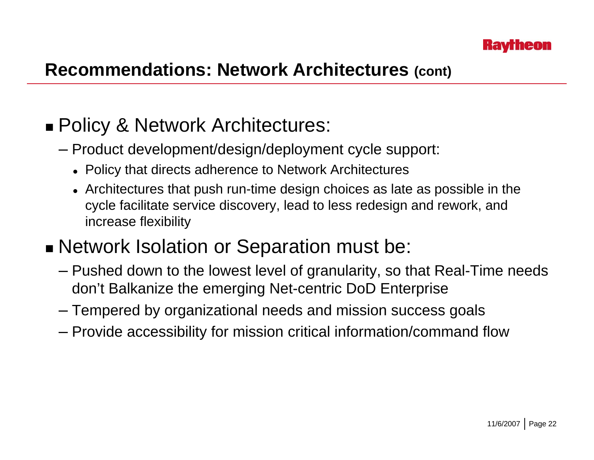

#### **Recommendations: Network Architectures (cont)**

#### ■ Policy & Network Architectures:

- Product development/design/deployment cycle support:
	- $\bullet\,$  Policy that directs adherence to Network Architectures
	- $\bullet\,$  Architectures that push run-time design choices as late as possible in the cycle facilitate service discovery, lead to less redesign and rework, and increase flexibility

#### ■ Network Isolation or Separation must be:

- Pushed down to the lowest level of granularity, so that Real-Time needs don't Balkanize the emerging Net-centric DoD Enterprise
- Tempered by organizational needs and mission success goals
- Provide accessibility for mission critical information/command flow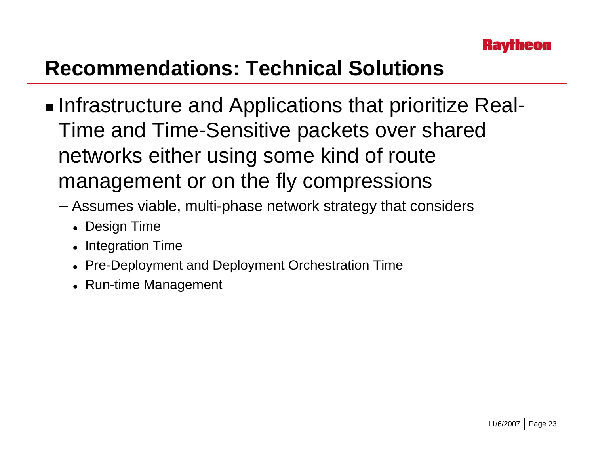

## **Recommendations: Technical Solutions**

- ■Infrastructure and Applications that prioritize Real-Time and Time-Sensitive packets over shared networks either using some kind of route management or on the fly compressions
	- Assumes viable, multi-phase network strategy that considers
		- Design Time
		- $\bullet\,$  Integration Time
		- Pre-Deployment and Deployment Orchestration Time
		- Run-time Management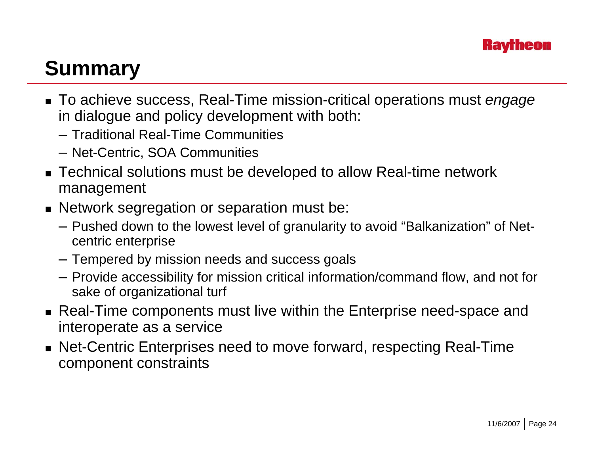

## **Summary**

- To achieve success, Real-Time mission-critical operations must *engage* in dialogue and policy development with both:
	- Traditional Real-Time Communities
	- Net-Centric, SOA Communities
- Technical solutions must be developed to allow Real-time network management
- Network segregation or separation must be:
	- Pushed down to the lowest level of granularity to avoid "Balkanization" of Netcentric enterprise
	- Tempered by mission needs and success goals
	- Provide accessibility for mission critical information/command flow, and not for sake of organizational turf
- Real-Time components must live within the Enterprise need-space and interoperate as a service
- Net-Centric Enterprises need to move forward, respecting Real-Time component constraints